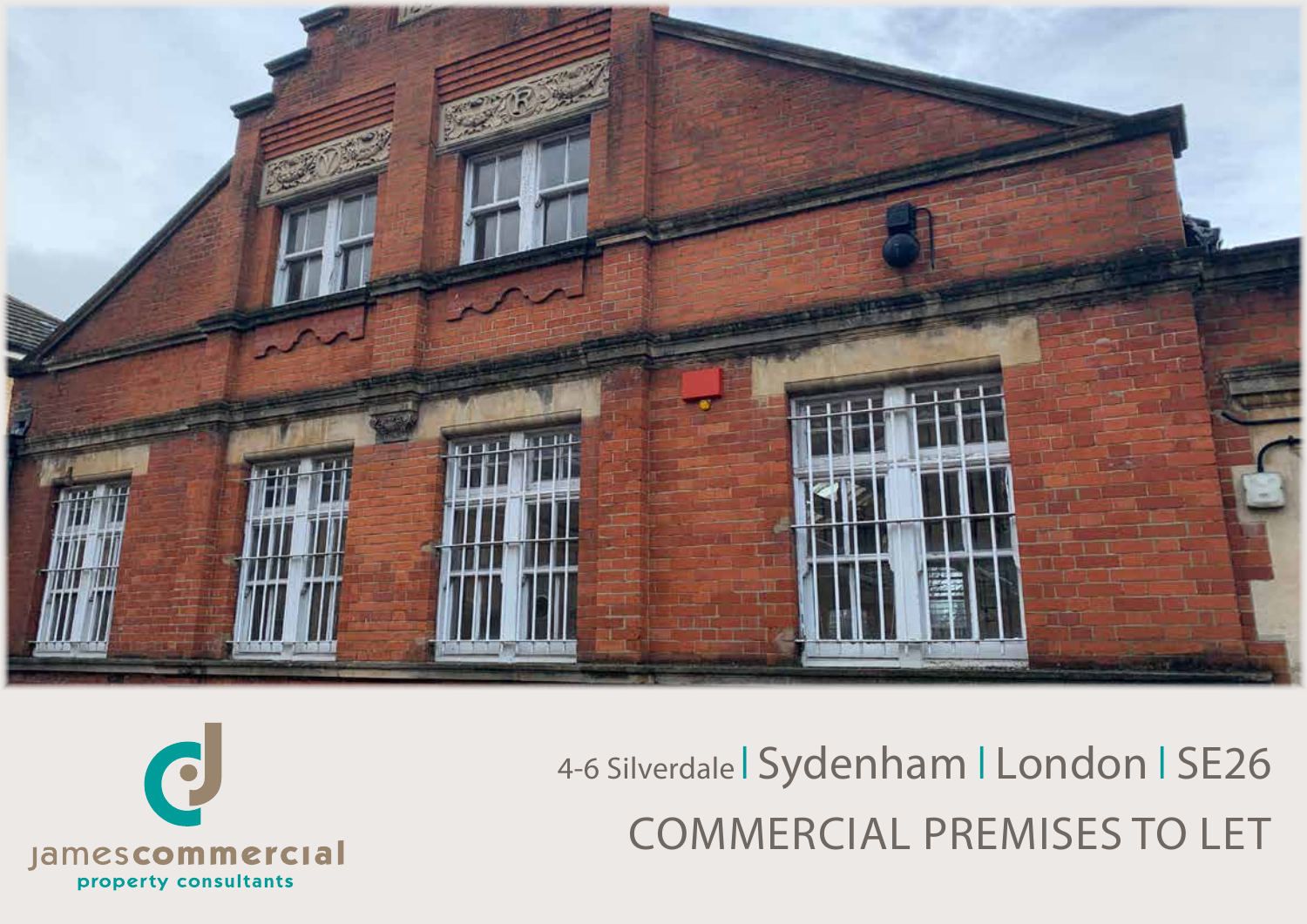

4-6 Silverdale | Sydenham | London | SE26 COMMERCIAL PREMISES TO LET